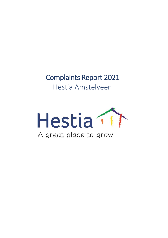Complaints Report 2021 Hestia Amstelveen

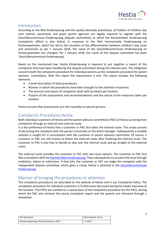

## Introduction

According to the Wet Kinderopvang and the quality demands preschools, all holders of children day care centres, preschools and guest parent agencies are legally required to register with the Geschillencommissie Kinderopvang (dispute committee), to which the Klachtenloket Kinderopvang (complaints office) is also linked. In response to the Wet Harmonisatie Kinderopvang en Peuterspeelzalen, which has led to the cessation of the differentiation between children's day cares and preschools as per 1 January 2018, the name of the Geschillencommissie Kinderopvang en Peuterspeelzalen has changed. Per 1 January 2018, the name of this dispute committee has been 'Geschillencommissie Kinderopvang'.

Based on the mentioned law, Hestia Kinderopvang is required to put together a report of the complaints that have been handled by the dispute committee during the relevant year. This obligation concerns both the complaints procedure for individual parents as the complaints procedure for parent advisory committees. With this report the requirement is met. The report includes the following elements:

- A brief description of both procedures.
- Manner in which the procedures have been brought to the attention of parents.
- The amount and nature of complaints dealt with by Hestia per location.
- Purport of the assessments and recommendations and the nature of the measures taken per location.

Hestia ensures that assessments are not traceable to natural persons.

# Complaints Procedures Hestia

Both individual customers of Hestia and the parent advisory committees (PAC) of Hestia can bring their complaints through an internal and external route.

It is the preference of Hestia that a customer or PAC first takes the internal route. This route consists of discussing the complaint with the person concerned, or the direct manager. Subsequently a suitable solution is sought for in consultation with the customer or parent advisory committee. Of course, a customer or PAC can still choose to follow the external route after finalising the internal route. The customer or PAC is also free to decide to skip over the internal route and go straight to the external route.

The external route provides the customer or PAC with two more options. The customer or PAC first files a complaint with th[e Klachtenloket Kinderopvang.](https://www.klachtenloket-kinderopvang.nl/) They subsequently try to solve the issue through mediation, advice or arbitration. If that fails, the customer or PAC can lodge the complaint with the independent dispute committee, which gives a ruling. Hestia is attached to the Geschillencommissie [Kinderopvang.](https://www.degeschillencommissie.nl/over-ons/commissies/kinderopvang/)

# Manner of bringing the procedures to attention

The complaints procedures are described on the website of Hestia and in our Complaints Policy. The complaints procedure for individual customers is furthermore discussed during the intake interview at the location. The PACS are notified on a yearly basis of the complaints procedure for the PACs, during which the PAC also receives the yearly complaints report and the parents are informed through a newsletter.

| Titel document:                           | Datum laatste versie: |
|-------------------------------------------|-----------------------|
| Klachtenrapportage Hestia Amstelveen 2021 | 1-2-2022              |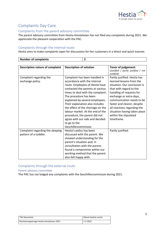

# Complaints Day Care

## Complaints from the parent advisory committee

The parent advisory committee from Hestia Amstelveen has not filed any complaints during 2021. We appreciate the pleasant cooperation with the PAC.

## Complaints through the internal route

Hestia aims to make complaints open for discussions for her customers in a direct and quick manner.

| <b>Number of complaints</b>            | $\mathbf{2}$                      |                                                   |
|----------------------------------------|-----------------------------------|---------------------------------------------------|
|                                        |                                   |                                                   |
| <b>Description nature of complaint</b> | <b>Description of solution</b>    | <b>Tenor of judgement</b>                         |
|                                        |                                   | (Justified / partly justified / not<br>justified) |
| Complaint regarding the                | Complaint has been handled in     | Partly justified. Hestia has                      |
| exchange policy.                       | accordance with the internal      | learned lessons from the                          |
|                                        | route. Employees of Hestia have   | situation. Our conclusion is                      |
|                                        | contacted the parents at various  | that with regard to the                           |
|                                        | times to deal with the complaint. | handling of requests for                          |
|                                        | The procedure has been            | exchange or extra days,                           |
|                                        | explained by several employees.   | communication needs to be                         |
|                                        | Their explanation also includes   | faster and clearer, despite                       |
|                                        | the effect of the shortage on the | all reactions regarding the                       |
|                                        | labour market. At the end of the  | situation having taken place                      |
|                                        | procedure, the parent did not     | within the stipulated                             |
|                                        | agree with our side and decided   | timeframe.                                        |
|                                        | to go to the                      |                                                   |
|                                        | Geschillencommissie.              |                                                   |
| Complaint regarding the sleeping       | Hestia's policy has been          | Partly justified.                                 |
| pattern of a toddler.                  | discussed with the parent. We     |                                                   |
|                                        | showed understanding for the      |                                                   |
|                                        | parent's situation and, in        |                                                   |
|                                        | consultation with the parent,     |                                                   |
|                                        | found a compromise within our     |                                                   |
|                                        | working method that the parent    |                                                   |
|                                        | also felt happy with.             |                                                   |

## Complaints through the external route

#### Parent advisory committee

The PAC has not lodged any complaints with the Geschillencommissie during 2021.

| Titel document:                           | Datum laatste versie: |
|-------------------------------------------|-----------------------|
| Klachtenrapportage Hestia Amstelveen 2021 | 1-2-2022              |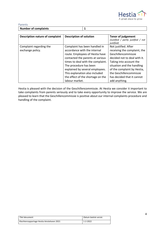

| Parents              |  |
|----------------------|--|
| Number of complaints |  |

| <b>Description nature of complaint</b>      | <b>Description of solution</b>                                                                                                                                                                                                                                           | <b>Tenor of judgement</b><br>(Justified / partly justified / not<br><i>justified</i> )                                                                                                                                         |
|---------------------------------------------|--------------------------------------------------------------------------------------------------------------------------------------------------------------------------------------------------------------------------------------------------------------------------|--------------------------------------------------------------------------------------------------------------------------------------------------------------------------------------------------------------------------------|
| Complaint regarding the<br>exchange policy. | Complaint has been handled in<br>accordance with the internal<br>route. Employees of Hestia have<br>contacted the parents at various<br>times to deal with the complaint.<br>The procedure has been<br>explained by several employees.<br>This explanation also included | Not justified. After<br>receiving the complaint, the<br>Geschillencommissie<br>decided not to deal with it.<br>Taking into account the<br>situation and the handling<br>of the complaint by Hestia,<br>the Geschillencommissie |
|                                             | the effect of the shortage on the<br>labour market.                                                                                                                                                                                                                      | has decided that it cannot<br>add anything.                                                                                                                                                                                    |

Hestia is pleased with the decision of the Geschillencommissie. At Hestia we consider it important to take complaints from parents seriously and to take every opportunity to improve the service. We are pleased to learn that the Geschillencommissie is positive about our internal complaints procedure and handling of the complaint.

| Titel document:                           | Datum laatste versie: |
|-------------------------------------------|-----------------------|
| Klachtenrapportage Hestia Amstelveen 2021 | 1-2-2022              |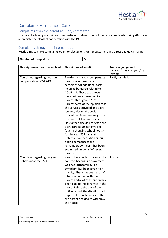

 $\overline{\phantom{0}}$ 

# Complaints Afterschool Care

## Complaints from the parent advisory committee

The parent advisory committee from Hestia Amstelveen has not filed any complaints during 2021. We appreciate the pleasant cooperation with the PAC.

## Complaints through the internal route

Hestia aims to make complaints open for discussions for her customers in a direct and quick manner.

| <b>Number of complaints</b>            | $\overline{\mathbf{3}}$                                          |                                                                                        |
|----------------------------------------|------------------------------------------------------------------|----------------------------------------------------------------------------------------|
|                                        |                                                                  |                                                                                        |
| <b>Description nature of complaint</b> | <b>Description of solution</b>                                   | <b>Tenor of judgement</b><br>(Justified / partly justified / not<br><i>justified</i> ) |
| Complaint regarding decision           | The decision not to compensate                                   | Partly justified.                                                                      |
| compensation COVID-19.                 | parents was based on a                                           |                                                                                        |
|                                        | settlement of additional costs                                   |                                                                                        |
|                                        | incurred by Hestia related to                                    |                                                                                        |
|                                        | COVID-19. These extra costs                                      |                                                                                        |
|                                        | have not been passed on to                                       |                                                                                        |
|                                        | parents throughout 2021.                                         |                                                                                        |
|                                        | Parents were of the opinion that                                 |                                                                                        |
|                                        | the services provided and extra                                  |                                                                                        |
|                                        | leniency during the covid                                        |                                                                                        |
|                                        | procedure did not outweigh the                                   |                                                                                        |
|                                        | decision not to compensate.<br>Hestia then decided to settle the |                                                                                        |
|                                        | extra care hours not invoiced                                    |                                                                                        |
|                                        | (due to changing school hours)                                   |                                                                                        |
|                                        | for the year 2021 against                                        |                                                                                        |
|                                        | potential compensation amount                                    |                                                                                        |
|                                        | and to compensate the                                            |                                                                                        |
|                                        | remainder. Complaint has been                                    |                                                                                        |
|                                        | submitted on behalf of several                                   |                                                                                        |
|                                        | parents.                                                         |                                                                                        |
| Complaint regarding bullying           | Parent has emailed to cancel the                                 | Justified.                                                                             |
| behaviour at the BSO.                  | contract because improvement                                     |                                                                                        |
|                                        | was not forthcoming. The                                         |                                                                                        |
|                                        | complaint has been given high                                    |                                                                                        |
|                                        | priority. There has been a lot of                                |                                                                                        |
|                                        | intensive contact with the                                       |                                                                                        |
|                                        | parent and a lot of attention has                                |                                                                                        |
|                                        | been paid to the dynamics in the                                 |                                                                                        |
|                                        | group. Before the end of the                                     |                                                                                        |
|                                        | notice period, the situation had                                 |                                                                                        |
|                                        | improved to such an extent that                                  |                                                                                        |
|                                        | the parent decided to withdraw                                   |                                                                                        |
|                                        | the notice.                                                      |                                                                                        |

| Titel document:                           | Datum laatste versie: |
|-------------------------------------------|-----------------------|
| Klachtenrapportage Hestia Amstelveen 2021 | 1-2-2022              |